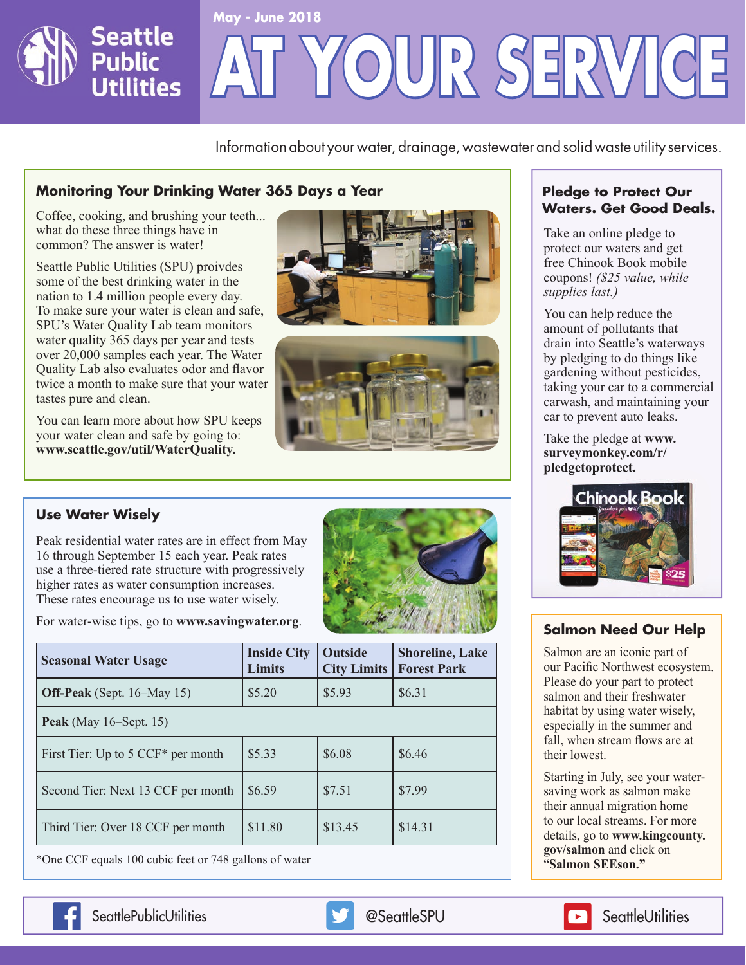

Information about your water, drainage, wastewater and solid waste utility services.

## **Monitoring Your Drinking Water 365 Days a Year**

Coffee, cooking, and brushing your teeth... what do these three things have in common? The answer is water!

Seattle Public Utilities (SPU) proivdes some of the best drinking water in the nation to 1.4 million people every day. To make sure your water is clean and safe, SPU's Water Quality Lab team monitors water quality 365 days per year and tests over 20,000 samples each year. The Water Quality Lab also evaluates odor and flavor twice a month to make sure that your water tastes pure and clean.

You can learn more about how SPU keeps your water clean and safe by going to: **www.seattle.gov/util/WaterQuality.**





#### **Use Water Wisely**

Peak residential water rates are in effect from May 16 through September 15 each year. Peak rates use a three-tiered rate structure with progressively higher rates as water consumption increases. These rates encourage us to use water wisely.

For water-wise tips, go to **www.savingwater.org**.



| <b>Seasonal Water Usage</b>                    | <b>Inside City</b><br><b>Limits</b> | <b>Outside</b><br><b>City Limits</b> | <b>Shoreline, Lake</b><br><b>Forest Park</b> |
|------------------------------------------------|-------------------------------------|--------------------------------------|----------------------------------------------|
| <b>Off-Peak</b> (Sept. 16–May 15)              | \$5.20                              | \$5.93                               | \$6.31                                       |
| Peak (May $16$ –Sept. 15)                      |                                     |                                      |                                              |
| First Tier: Up to 5 CCF <sup>*</sup> per month | \$5.33                              | \$6.08                               | \$6.46                                       |
| Second Tier: Next 13 CCF per month             | \$6.59                              | \$7.51                               | \$7.99                                       |
| Third Tier: Over 18 CCF per month              | \$11.80                             | \$13.45                              | \$14.31                                      |

\*One CCF equals 100 cubic feet or 748 gallons of water

## **Pledge to Protect Our Waters. Get Good Deals.**

Take an online pledge to protect our waters and get free Chinook Book mobile coupons! *(\$25 value, while supplies last.)* 

You can help reduce the amount of pollutants that drain into Seattle's waterways by pledging to do things like gardening without pesticides, taking your car to a commercial carwash, and maintaining your car to prevent auto leaks.

Take the pledge at **www. [surveymonkey.com/r/](https://www.surveymonkey.com/r/pledgetoprotect) pledgetoprotect.**



## **Salmon Need Our Help**

Salmon are an iconic part of our Pacific Northwest ecosystem. Please do your part to protect salmon and their freshwater habitat by using water wisely, especially in the summer and fall, when stream flows are at their lowest.

Starting in July, see your watersaving work as salmon make their annual migration home to our local streams. For more details, go to **[www.kingcounty.](www.kingcounty.gov/salmon) gov/salmon** and click on "**Salmon SEEson."**